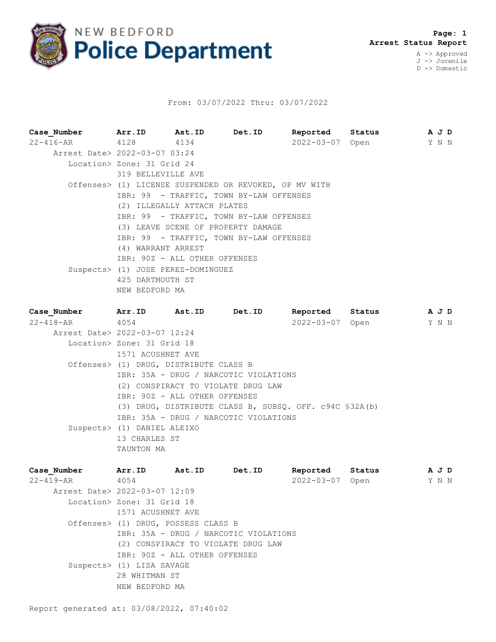

## From: 03/07/2022 Thru: 03/07/2022

| Case Number                         |                                         | Arr. ID Ast. ID                                        | Det.ID | Reported Status                                         |                     |  | A J D |  |  |  |  |
|-------------------------------------|-----------------------------------------|--------------------------------------------------------|--------|---------------------------------------------------------|---------------------|--|-------|--|--|--|--|
| $22 - 416 - AR$                     | 4128 4134                               |                                                        |        |                                                         | 2022-03-07 Open     |  | Y N N |  |  |  |  |
| Arrest Date> 2022-03-07 03:24       |                                         |                                                        |        |                                                         |                     |  |       |  |  |  |  |
|                                     | Location> Zone: 31 Grid 24              |                                                        |        |                                                         |                     |  |       |  |  |  |  |
|                                     |                                         | 319 BELLEVILLE AVE                                     |        |                                                         |                     |  |       |  |  |  |  |
|                                     |                                         | Offenses> (1) LICENSE SUSPENDED OR REVOKED, OP MV WITH |        |                                                         |                     |  |       |  |  |  |  |
|                                     | IBR: 99 - TRAFFIC, TOWN BY-LAW OFFENSES |                                                        |        |                                                         |                     |  |       |  |  |  |  |
|                                     |                                         | (2) ILLEGALLY ATTACH PLATES                            |        |                                                         |                     |  |       |  |  |  |  |
|                                     | IBR: 99 - TRAFFIC, TOWN BY-LAW OFFENSES |                                                        |        |                                                         |                     |  |       |  |  |  |  |
|                                     | (3) LEAVE SCENE OF PROPERTY DAMAGE      |                                                        |        |                                                         |                     |  |       |  |  |  |  |
|                                     | IBR: 99 - TRAFFIC, TOWN BY-LAW OFFENSES |                                                        |        |                                                         |                     |  |       |  |  |  |  |
|                                     | (4) WARRANT ARREST                      |                                                        |        |                                                         |                     |  |       |  |  |  |  |
|                                     |                                         | IBR: 90Z - ALL OTHER OFFENSES                          |        |                                                         |                     |  |       |  |  |  |  |
|                                     |                                         | Suspects> (1) JOSE PEREZ-DOMINGUEZ                     |        |                                                         |                     |  |       |  |  |  |  |
|                                     | 425 DARTMOUTH ST                        |                                                        |        |                                                         |                     |  |       |  |  |  |  |
|                                     | NEW BEDFORD MA                          |                                                        |        |                                                         |                     |  |       |  |  |  |  |
| Case Number Arr. ID Ast. ID Det. ID |                                         |                                                        |        |                                                         | Reported Status AJD |  |       |  |  |  |  |
| $22 - 418 - AR$ 4054                |                                         |                                                        |        | 2022-03-07 Open                                         |                     |  | Y N N |  |  |  |  |
| Arrest Date> 2022-03-07 12:24       |                                         |                                                        |        |                                                         |                     |  |       |  |  |  |  |
|                                     | Location> Zone: 31 Grid 18              |                                                        |        |                                                         |                     |  |       |  |  |  |  |
|                                     | 1571 ACUSHNET AVE                       |                                                        |        |                                                         |                     |  |       |  |  |  |  |
|                                     | Offenses> (1) DRUG, DISTRIBUTE CLASS B  |                                                        |        |                                                         |                     |  |       |  |  |  |  |
|                                     | IBR: 35A - DRUG / NARCOTIC VIOLATIONS   |                                                        |        |                                                         |                     |  |       |  |  |  |  |
|                                     | (2) CONSPIRACY TO VIOLATE DRUG LAW      |                                                        |        |                                                         |                     |  |       |  |  |  |  |
|                                     | IBR: 90Z - ALL OTHER OFFENSES           |                                                        |        |                                                         |                     |  |       |  |  |  |  |
|                                     |                                         |                                                        |        | (3) DRUG, DISTRIBUTE CLASS B, SUBSQ. OFF. c94C \$32A(b) |                     |  |       |  |  |  |  |
|                                     |                                         | IBR: 35A - DRUG / NARCOTIC VIOLATIONS                  |        |                                                         |                     |  |       |  |  |  |  |
|                                     |                                         | $(1)$ partitude at property                            |        |                                                         |                     |  |       |  |  |  |  |

 Suspects> (1) DANIEL ALEIXO 13 CHARLES ST TAUNTON MA

**Case\_Number Arr.ID Ast.ID Det.ID Reported Status A J D** 22-419-AR 4054 2022-03-07 Open Y N N Arrest Date> 2022-03-07 12:09 Location> Zone: 31 Grid 18 1571 ACUSHNET AVE Offenses> (1) DRUG, POSSESS CLASS B IBR: 35A - DRUG / NARCOTIC VIOLATIONS (2) CONSPIRACY TO VIOLATE DRUG LAW IBR: 90Z - ALL OTHER OFFENSES Suspects> (1) LISA SAVAGE 28 WHITMAN ST NEW BEDFORD MA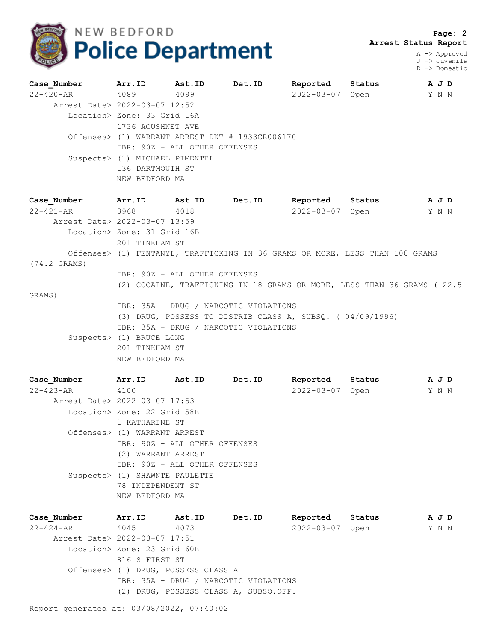

 **Page: 2 Arrest Status Report**

> A -> Approved J -> Juvenile D -> Domestic

| Case Number                         | Arr.ID                                                    | Ast.ID                        | Det.ID                                          | Reported                                                                     | Status | A J D                                                                   |  |  |
|-------------------------------------|-----------------------------------------------------------|-------------------------------|-------------------------------------------------|------------------------------------------------------------------------------|--------|-------------------------------------------------------------------------|--|--|
| $22 - 420 - AR$<br>4089             |                                                           | 4099                          |                                                 | 2022-03-07 Open                                                              |        | Y N N                                                                   |  |  |
| Arrest Date> 2022-03-07 12:52       |                                                           |                               |                                                 |                                                                              |        |                                                                         |  |  |
|                                     | Location> Zone: 33 Grid 16A                               |                               |                                                 |                                                                              |        |                                                                         |  |  |
|                                     | 1736 ACUSHNET AVE                                         |                               |                                                 |                                                                              |        |                                                                         |  |  |
|                                     |                                                           |                               | Offenses> (1) WARRANT ARREST DKT # 1933CR006170 |                                                                              |        |                                                                         |  |  |
|                                     |                                                           | IBR: 90Z - ALL OTHER OFFENSES |                                                 |                                                                              |        |                                                                         |  |  |
|                                     | Suspects> (1) MICHAEL PIMENTEL                            |                               |                                                 |                                                                              |        |                                                                         |  |  |
|                                     | 136 DARTMOUTH ST                                          |                               |                                                 |                                                                              |        |                                                                         |  |  |
|                                     | NEW BEDFORD MA                                            |                               |                                                 |                                                                              |        |                                                                         |  |  |
| Case Number Arr. ID Ast. ID Det. ID |                                                           |                               |                                                 | Reported                                                                     | Status | AJD                                                                     |  |  |
| $22 - 421 - AR$ 3968                |                                                           | 4018                          |                                                 | 2022-03-07 Open                                                              |        | Y N N                                                                   |  |  |
| Arrest Date> 2022-03-07 13:59       |                                                           |                               |                                                 |                                                                              |        |                                                                         |  |  |
|                                     | Location> Zone: 31 Grid 16B                               |                               |                                                 |                                                                              |        |                                                                         |  |  |
|                                     | 201 TINKHAM ST                                            |                               |                                                 |                                                                              |        |                                                                         |  |  |
|                                     |                                                           |                               |                                                 | Offenses> (1) FENTANYL, TRAFFICKING IN 36 GRAMS OR MORE, LESS THAN 100 GRAMS |        |                                                                         |  |  |
| $(74.2 \text{ GRAMS})$              |                                                           |                               |                                                 |                                                                              |        |                                                                         |  |  |
|                                     |                                                           | IBR: 90Z - ALL OTHER OFFENSES |                                                 |                                                                              |        |                                                                         |  |  |
|                                     |                                                           |                               |                                                 |                                                                              |        | (2) COCAINE, TRAFFICKING IN 18 GRAMS OR MORE, LESS THAN 36 GRAMS (22.5) |  |  |
| GRAMS)                              |                                                           |                               |                                                 |                                                                              |        |                                                                         |  |  |
|                                     | IBR: 35A - DRUG / NARCOTIC VIOLATIONS                     |                               |                                                 |                                                                              |        |                                                                         |  |  |
|                                     | (3) DRUG, POSSESS TO DISTRIB CLASS A, SUBSQ. (04/09/1996) |                               |                                                 |                                                                              |        |                                                                         |  |  |
|                                     |                                                           |                               | IBR: 35A - DRUG / NARCOTIC VIOLATIONS           |                                                                              |        |                                                                         |  |  |
|                                     | Suspects> (1) BRUCE LONG                                  |                               |                                                 |                                                                              |        |                                                                         |  |  |
|                                     | 201 TINKHAM ST                                            |                               |                                                 |                                                                              |        |                                                                         |  |  |
|                                     | NEW BEDFORD MA                                            |                               |                                                 |                                                                              |        |                                                                         |  |  |
| Case Number                         |                                                           | Arr.ID Ast.ID                 | Det.ID                                          | Reported                                                                     | Status | A J D                                                                   |  |  |

| case number                   | ALL.ID                         | ASL.ID | <b>DEL.ID</b> | Reported platus |       | ם טיב |  |
|-------------------------------|--------------------------------|--------|---------------|-----------------|-------|-------|--|
| $22 - 423 - AR$ 4100          |                                |        |               | 2022-03-07 Open | Y N N |       |  |
| Arrest Date> 2022-03-07 17:53 |                                |        |               |                 |       |       |  |
|                               | Location> Zone: 22 Grid 58B    |        |               |                 |       |       |  |
|                               | 1 KATHARINE ST                 |        |               |                 |       |       |  |
|                               | Offenses> (1) WARRANT ARREST   |        |               |                 |       |       |  |
|                               | IBR: 90Z - ALL OTHER OFFENSES  |        |               |                 |       |       |  |
|                               | (2) WARRANT ARREST             |        |               |                 |       |       |  |
|                               | IBR: 90Z - ALL OTHER OFFENSES  |        |               |                 |       |       |  |
|                               | Suspects> (1) SHAWNTE PAULETTE |        |               |                 |       |       |  |
|                               | 78 INDEPENDENT ST              |        |               |                 |       |       |  |
|                               | NEW BEDFORD MA                 |        |               |                 |       |       |  |

**Case\_Number Arr.ID Ast.ID Det.ID Reported Status A J D** 22-424-AR 4045 4073 2022-03-07 Open Y N N Arrest Date> 2022-03-07 17:51 Location> Zone: 23 Grid 60B 816 S FIRST ST Offenses> (1) DRUG, POSSESS CLASS A IBR: 35A - DRUG / NARCOTIC VIOLATIONS (2) DRUG, POSSESS CLASS A, SUBSQ.OFF.